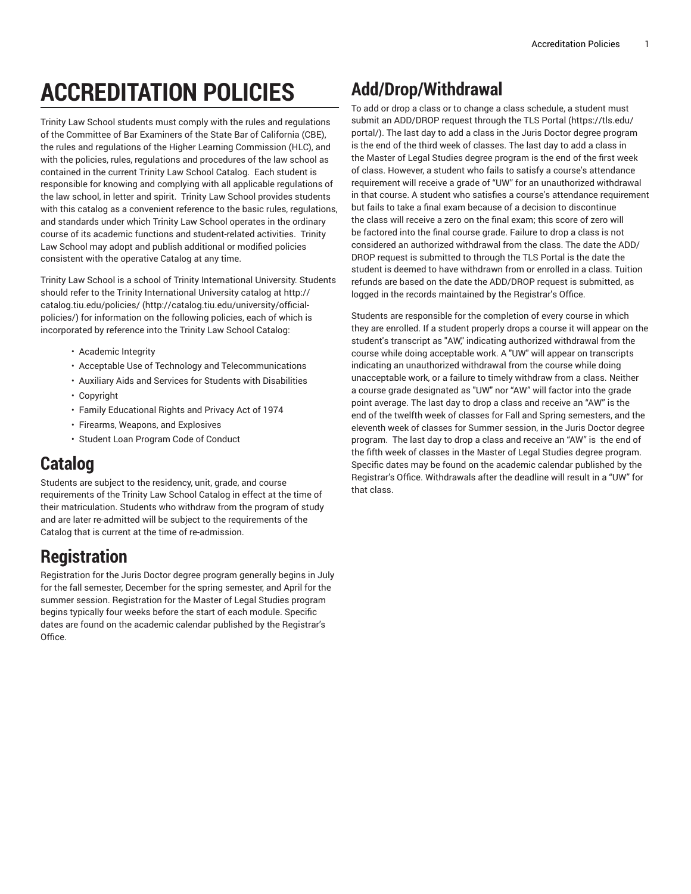# **ACCREDITATION POLICIES**

Trinity Law School students must comply with the rules and regulations of the Committee of Bar Examiners of the State Bar of California (CBE), the rules and regulations of the Higher Learning Commission (HLC), and with the policies, rules, regulations and procedures of the law school as contained in the current Trinity Law School Catalog. Each student is responsible for knowing and complying with all applicable regulations of the law school, in letter and spirit. Trinity Law School provides students with this catalog as a convenient reference to the basic rules, regulations, and standards under which Trinity Law School operates in the ordinary course of its academic functions and student-related activities. Trinity Law School may adopt and publish additional or modified policies consistent with the operative Catalog at any time.

Trinity Law School is a school of Trinity International University. Students should refer to the Trinity International University catalog at [http://](http://catalog.tiu.edu/university/official-policies/) [catalog.tiu.edu/policies/](http://catalog.tiu.edu/university/official-policies/) ([http://catalog.tiu.edu/university/official](http://catalog.tiu.edu/university/official-policies/)[policies/](http://catalog.tiu.edu/university/official-policies/)) for information on the following policies, each of which is incorporated by reference into the Trinity Law School Catalog:

- Academic Integrity
- Acceptable Use of Technology and Telecommunications
- Auxiliary Aids and Services for Students with Disabilities
- Copyright
- Family Educational Rights and Privacy Act of 1974
- Firearms, Weapons, and Explosives
- Student Loan Program Code of Conduct

# **Catalog**

Students are subject to the residency, unit, grade, and course requirements of the Trinity Law School Catalog in effect at the time of their matriculation. Students who withdraw from the program of study and are later re-admitted will be subject to the requirements of the Catalog that is current at the time of re-admission.

# **Registration**

Registration for the Juris Doctor degree program generally begins in July for the fall semester, December for the spring semester, and April for the summer session. Registration for the Master of Legal Studies program begins typically four weeks before the start of each module. Specific dates are found on the academic calendar published by the Registrar's Office.

# **Add/Drop/Withdrawal**

To add or drop a class or to change a class schedule, a student must submit an ADD/DROP request through the TLS [Portal \(https://tls.edu/](https://tls.edu/portal/) [portal/\)](https://tls.edu/portal/). The last day to add a class in the Juris Doctor degree program is the end of the third week of classes. The last day to add a class in the Master of Legal Studies degree program is the end of the first week of class. However, a student who fails to satisfy a course's attendance requirement will receive a grade of "UW" for an unauthorized withdrawal in that course. A student who satisfies a course's attendance requirement but fails to take a final exam because of a decision to discontinue the class will receive a zero on the final exam; this score of zero will be factored into the final course grade. Failure to drop a class is not considered an authorized withdrawal from the class. The date the ADD/ DROP request is submitted to through the TLS Portal is the date the student is deemed to have withdrawn from or enrolled in a class. Tuition refunds are based on the date the ADD/DROP request is submitted, as logged in the records maintained by the Registrar's Office.

Students are responsible for the completion of every course in which they are enrolled. If a student properly drops a course it will appear on the student's transcript as "AW," indicating authorized withdrawal from the course while doing acceptable work. A "UW" will appear on transcripts indicating an unauthorized withdrawal from the course while doing unacceptable work, or a failure to timely withdraw from a class. Neither a course grade designated as "UW" nor "AW" will factor into the grade point average. The last day to drop a class and receive an "AW" is the end of the twelfth week of classes for Fall and Spring semesters, and the eleventh week of classes for Summer session, in the Juris Doctor degree program. The last day to drop a class and receive an "AW" is the end of the fifth week of classes in the Master of Legal Studies degree program. Specific dates may be found on the academic calendar published by the Registrar's Office. Withdrawals after the deadline will result in a "UW" for that class.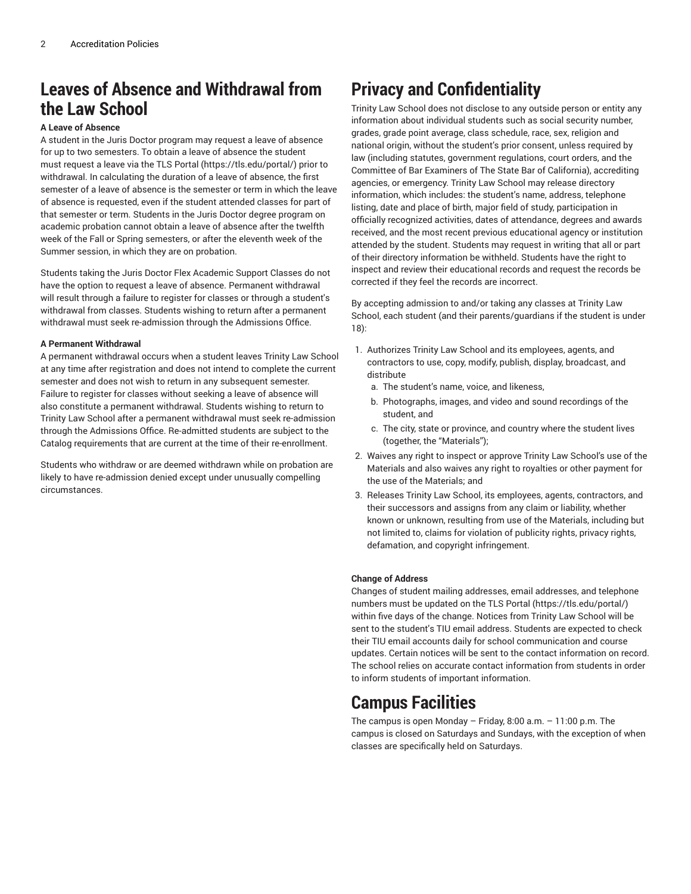# **Leaves of Absence and Withdrawal from the Law School**

### **A Leave of Absence**

A student in the Juris Doctor program may request a leave of absence for up to two semesters. To obtain a leave of absence the student must request a leave via the TLS [Portal](https://tls.edu/portal/) (<https://tls.edu/portal/>) prior to withdrawal. In calculating the duration of a leave of absence, the first semester of a leave of absence is the semester or term in which the leave of absence is requested, even if the student attended classes for part of that semester or term. Students in the Juris Doctor degree program on academic probation cannot obtain a leave of absence after the twelfth week of the Fall or Spring semesters, or after the eleventh week of the Summer session, in which they are on probation.

Students taking the Juris Doctor Flex Academic Support Classes do not have the option to request a leave of absence. Permanent withdrawal will result through a failure to register for classes or through a student's withdrawal from classes. Students wishing to return after a permanent withdrawal must seek re-admission through the Admissions Office.

#### **A Permanent Withdrawal**

A permanent withdrawal occurs when a student leaves Trinity Law School at any time after registration and does not intend to complete the current semester and does not wish to return in any subsequent semester. Failure to register for classes without seeking a leave of absence will also constitute a permanent withdrawal. Students wishing to return to Trinity Law School after a permanent withdrawal must seek re-admission through the Admissions Office. Re-admitted students are subject to the Catalog requirements that are current at the time of their re-enrollment.

Students who withdraw or are deemed withdrawn while on probation are likely to have re-admission denied except under unusually compelling circumstances.

# **Privacy and Confidentiality**

Trinity Law School does not disclose to any outside person or entity any information about individual students such as social security number, grades, grade point average, class schedule, race, sex, religion and national origin, without the student's prior consent, unless required by law (including statutes, government regulations, court orders, and the Committee of Bar Examiners of The State Bar of California), accrediting agencies, or emergency. Trinity Law School may release directory information, which includes: the student's name, address, telephone listing, date and place of birth, major field of study, participation in officially recognized activities, dates of attendance, degrees and awards received, and the most recent previous educational agency or institution attended by the student. Students may request in writing that all or part of their directory information be withheld. Students have the right to inspect and review their educational records and request the records be corrected if they feel the records are incorrect.

By accepting admission to and/or taking any classes at Trinity Law School, each student (and their parents/guardians if the student is under 18):

- 1. Authorizes Trinity Law School and its employees, agents, and contractors to use, copy, modify, publish, display, broadcast, and distribute
	- a. The student's name, voice, and likeness,
	- b. Photographs, images, and video and sound recordings of the student, and
	- c. The city, state or province, and country where the student lives (together, the "Materials");
- 2. Waives any right to inspect or approve Trinity Law School's use of the Materials and also waives any right to royalties or other payment for the use of the Materials; and
- 3. Releases Trinity Law School, its employees, agents, contractors, and their successors and assigns from any claim or liability, whether known or unknown, resulting from use of the Materials, including but not limited to, claims for violation of publicity rights, privacy rights, defamation, and copyright infringement.

#### **Change of Address**

Changes of student mailing addresses, email addresses, and telephone numbers must be updated on the TLS [Portal](https://tls.edu/portal/) (<https://tls.edu/portal/>) within five days of the change. Notices from Trinity Law School will be sent to the student's TIU email address. Students are expected to check their TIU email accounts daily for school communication and course updates. Certain notices will be sent to the contact information on record. The school relies on accurate contact information from students in order to inform students of important information.

### **Campus Facilities**

The campus is open Monday – Friday, 8:00 a.m. – 11:00 p.m. The campus is closed on Saturdays and Sundays, with the exception of when classes are specifically held on Saturdays.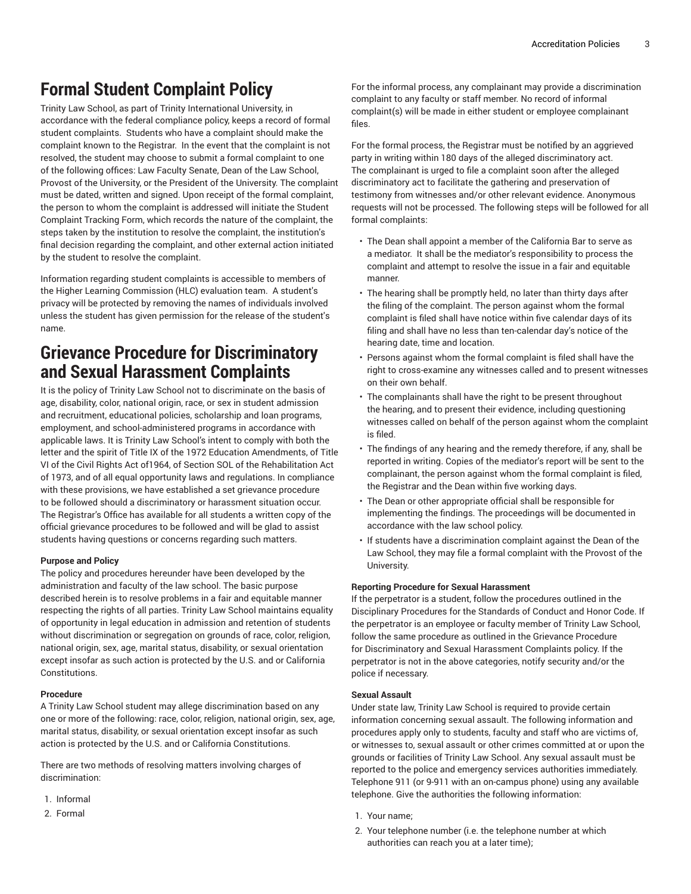# **Formal Student Complaint Policy**

Trinity Law School, as part of Trinity International University, in accordance with the federal compliance policy, keeps a record of formal student complaints. Students who have a complaint should make the complaint known to the Registrar. In the event that the complaint is not resolved, the student may choose to submit a formal complaint to one of the following offices: Law Faculty Senate, Dean of the Law School, Provost of the University, or the President of the University. The complaint must be dated, written and signed. Upon receipt of the formal complaint, the person to whom the complaint is addressed will initiate the Student Complaint Tracking Form, which records the nature of the complaint, the steps taken by the institution to resolve the complaint, the institution's final decision regarding the complaint, and other external action initiated by the student to resolve the complaint.

Information regarding student complaints is accessible to members of the Higher Learning Commission (HLC) evaluation team. A student's privacy will be protected by removing the names of individuals involved unless the student has given permission for the release of the student's name.

### **Grievance Procedure for Discriminatory and Sexual Harassment Complaints**

It is the policy of Trinity Law School not to discriminate on the basis of age, disability, color, national origin, race, or sex in student admission and recruitment, educational policies, scholarship and loan programs, employment, and school-administered programs in accordance with applicable laws. It is Trinity Law School's intent to comply with both the letter and the spirit of Title IX of the 1972 Education Amendments, of Title VI of the Civil Rights Act of1964, of Section SOL of the Rehabilitation Act of 1973, and of all equal opportunity laws and regulations. In compliance with these provisions, we have established a set grievance procedure to be followed should a discriminatory or harassment situation occur. The Registrar's Office has available for all students a written copy of the official grievance procedures to be followed and will be glad to assist students having questions or concerns regarding such matters.

#### **Purpose and Policy**

The policy and procedures hereunder have been developed by the administration and faculty of the law school. The basic purpose described herein is to resolve problems in a fair and equitable manner respecting the rights of all parties. Trinity Law School maintains equality of opportunity in legal education in admission and retention of students without discrimination or segregation on grounds of race, color, religion, national origin, sex, age, marital status, disability, or sexual orientation except insofar as such action is protected by the U.S. and or California Constitutions.

#### **Procedure**

A Trinity Law School student may allege discrimination based on any one or more of the following: race, color, religion, national origin, sex, age, marital status, disability, or sexual orientation except insofar as such action is protected by the U.S. and or California Constitutions.

There are two methods of resolving matters involving charges of discrimination:

- 1. Informal
- 2. Formal

For the informal process, any complainant may provide a discrimination complaint to any faculty or staff member. No record of informal complaint(s) will be made in either student or employee complainant files.

For the formal process, the Registrar must be notified by an aggrieved party in writing within 180 days of the alleged discriminatory act. The complainant is urged to file a complaint soon after the alleged discriminatory act to facilitate the gathering and preservation of testimony from witnesses and/or other relevant evidence. Anonymous requests will not be processed. The following steps will be followed for all formal complaints:

- The Dean shall appoint a member of the California Bar to serve as a mediator. It shall be the mediator's responsibility to process the complaint and attempt to resolve the issue in a fair and equitable manner.
- The hearing shall be promptly held, no later than thirty days after the filing of the complaint. The person against whom the formal complaint is filed shall have notice within five calendar days of its filing and shall have no less than ten-calendar day's notice of the hearing date, time and location.
- Persons against whom the formal complaint is filed shall have the right to cross-examine any witnesses called and to present witnesses on their own behalf.
- The complainants shall have the right to be present throughout the hearing, and to present their evidence, including questioning witnesses called on behalf of the person against whom the complaint is filed.
- The findings of any hearing and the remedy therefore, if any, shall be reported in writing. Copies of the mediator's report will be sent to the complainant, the person against whom the formal complaint is filed, the Registrar and the Dean within five working days.
- The Dean or other appropriate official shall be responsible for implementing the findings. The proceedings will be documented in accordance with the law school policy.
- If students have a discrimination complaint against the Dean of the Law School, they may file a formal complaint with the Provost of the University.

#### **Reporting Procedure for Sexual Harassment**

If the perpetrator is a student, follow the procedures outlined in the Disciplinary Procedures for the Standards of Conduct and Honor Code. If the perpetrator is an employee or faculty member of Trinity Law School, follow the same procedure as outlined in the Grievance Procedure for Discriminatory and Sexual Harassment Complaints policy. If the perpetrator is not in the above categories, notify security and/or the police if necessary.

#### **Sexual Assault**

Under state law, Trinity Law School is required to provide certain information concerning sexual assault. The following information and procedures apply only to students, faculty and staff who are victims of, or witnesses to, sexual assault or other crimes committed at or upon the grounds or facilities of Trinity Law School. Any sexual assault must be reported to the police and emergency services authorities immediately. Telephone 911 (or 9-911 with an on-campus phone) using any available telephone. Give the authorities the following information:

- 1. Your name;
- 2. Your telephone number (i.e. the telephone number at which authorities can reach you at a later time);